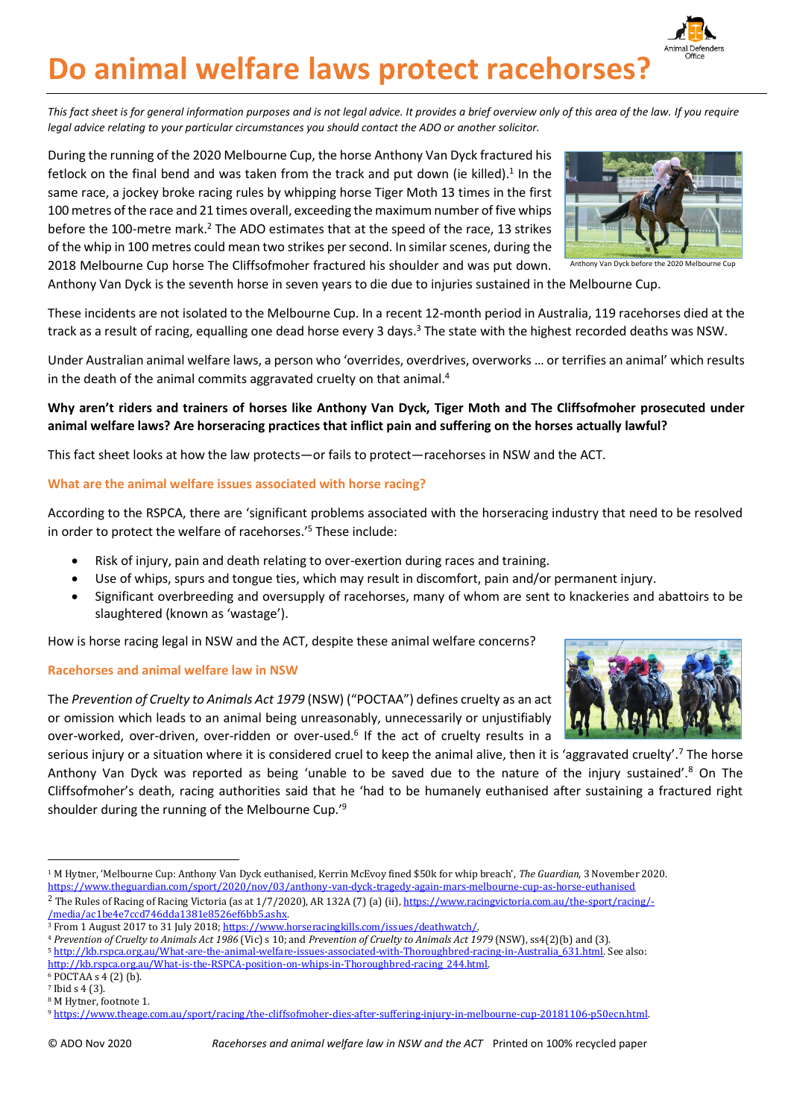© ADO Nov 2020 *Racehorses and animal welfare law in NSW and the ACT* Printed on 100% recycled paper

# **Do animal welfare laws protect racehorses?**

*This fact sheet is for general information purposes and is not legal advice. It provides a brief overview only of this area of the law. If you require legal advice relating to your particular circumstances you should contact the ADO or another solicitor.*

During the running of the 2020 Melbourne Cup, the horse Anthony Van Dyck fractured his fetlock on the final bend and was taken from the track and put down (ie killed).<sup>1</sup> In the same race, a jockey broke racing rules by whipping horse Tiger Moth 13 times in the first 100 metres of the race and 21 times overall, exceeding the maximum number of five whips before the 100-metre mark. <sup>2</sup> The ADO estimates that at the speed of the race, 13 strikes of the whip in 100 metres could mean two strikes per second. In similar scenes, during the 2018 Melbourne Cup horse The Cliffsofmoher fractured his shoulder and was put down.

These incidents are not isolated to the Melbourne Cup. In a recent 12-month period in Australia, 119 racehorses died at the track as a result of racing, equalling one dead horse every 3 days.<sup>3</sup> The state with the highest recorded deaths was NSW.

Anthony Van Dyck is the seventh horse in seven years to die due to injuries sustained in the Melbourne Cup.

Under Australian animal welfare laws, a person who 'overrides, overdrives, overworks … or terrifies an animal' which results in the death of the animal commits aggravated cruelty on that animal.<sup>4</sup>

## **Why aren't riders and trainers of horses like Anthony Van Dyck, Tiger Moth and The Cliffsofmoher prosecuted under animal welfare laws? Are horseracing practices that inflict pain and suffering on the horses actually lawful?**

This fact sheet looks at how the law protects—or fails to protect—racehorses in NSW and the ACT.

### **What are the animal welfare issues associated with horse racing?**

According to the RSPCA, there are 'significant problems associated with the horseracing industry that need to be resolved in order to protect the welfare of racehorses.' <sup>5</sup> These include:

- Risk of injury, pain and death relating to over-exertion during races and training.
- Use of whips, spurs and tongue ties, which may result in discomfort, pain and/or permanent injury.
- Significant overbreeding and oversupply of racehorses, many of whom are sent to knackeries and abattoirs to be slaughtered (known as 'wastage').

How is horse racing legal in NSW and the ACT, despite these animal welfare concerns?

#### **Racehorses and animal welfare law in NSW**

The *Prevention of Cruelty to Animals Act 1979* (NSW) ("POCTAA") defines cruelty as an act or omission which leads to an animal being unreasonably, unnecessarily or unjustifiably over-worked, over-driven, over-ridden or over-used.<sup>6</sup> If the act of cruelty results in a

serious injury or a situation where it is considered cruel to keep the animal alive, then it is 'aggravated cruelty'.<sup>7</sup> The horse Anthony Van Dyck was reported as being 'unable to be saved due to the nature of the injury sustained'.<sup>8</sup> On The Cliffsofmoher's death, racing authorities said that he 'had to be humanely euthanised after sustaining a fractured right shoulder during the running of the Melbourne Cup.'<sup>9</sup>



Anthony Van Dyck before the 2020 Melbourne Cup

<sup>1</sup> M Hytner, 'Melbourne Cup: Anthony Van Dyck euthanised, Kerrin McEvoy fined \$50k for whip breach', *The Guardian*, 3 November 2020. https://www.theguardian.com/sport/2020/nov/03/anthony-van-dyck-tragedy-again-mars-melbourne-cup-as-horse-euthanised

<sup>&</sup>lt;sup>2</sup> The Rules of Racing of Racing Victoria (as at 1/7/2020), AR 132A (7) (a) (ii)[, https://www.racingvictoria.com.au/the-sport/racing/-](https://www.racingvictoria.com.au/the-sport/racing/-/media/ac1be4e7ccd746dda1381e8526ef6bb5.ashx) [/media/ac1be4e7ccd746dda1381e8526ef6bb5.ashx.](https://www.racingvictoria.com.au/the-sport/racing/-/media/ac1be4e7ccd746dda1381e8526ef6bb5.ashx) 

<sup>&</sup>lt;sup>3</sup> From 1 August 2017 to 31 July 2018; https://www.horseracingkills.com/issues/deathwatch

<sup>4</sup> *Prevention of Cruelty to Animals Act 1986* (Vic) s 10; and *Prevention of Cruelty to Animals Act 1979* (NSW), ss4(2)(b) and (3).

<sup>5</sup> [http://kb.rspca.org.au/What-are-the-animal-welfare-issues-associated-with-Thoroughbred-racing-in-Australia\\_631.html.](http://kb.rspca.org.au/What-are-the-animal-welfare-issues-associated-with-Thoroughbred-racing-in-Australia_631.html) See also: [http://kb.rspca.org.au/What-is-the-RSPCA-position-on-whips-in-Thoroughbred-racing\\_244.html.](http://kb.rspca.org.au/What-is-the-RSPCA-position-on-whips-in-Thoroughbred-racing_244.html)  <sup>6</sup> POCTAA s 4 (2) (b).

<sup>7</sup> Ibid s 4 (3).

<sup>8</sup> M Hytner, footnote 1.

<sup>9</sup> [https://www.theage.com.au/sport/racing/the-cliffsofmoher-dies-after-suffering-injury-in-melbourne-cup-20181106-p50ecn.html.](https://www.theage.com.au/sport/racing/the-cliffsofmoher-dies-after-suffering-injury-in-melbourne-cup-20181106-p50ecn.html)